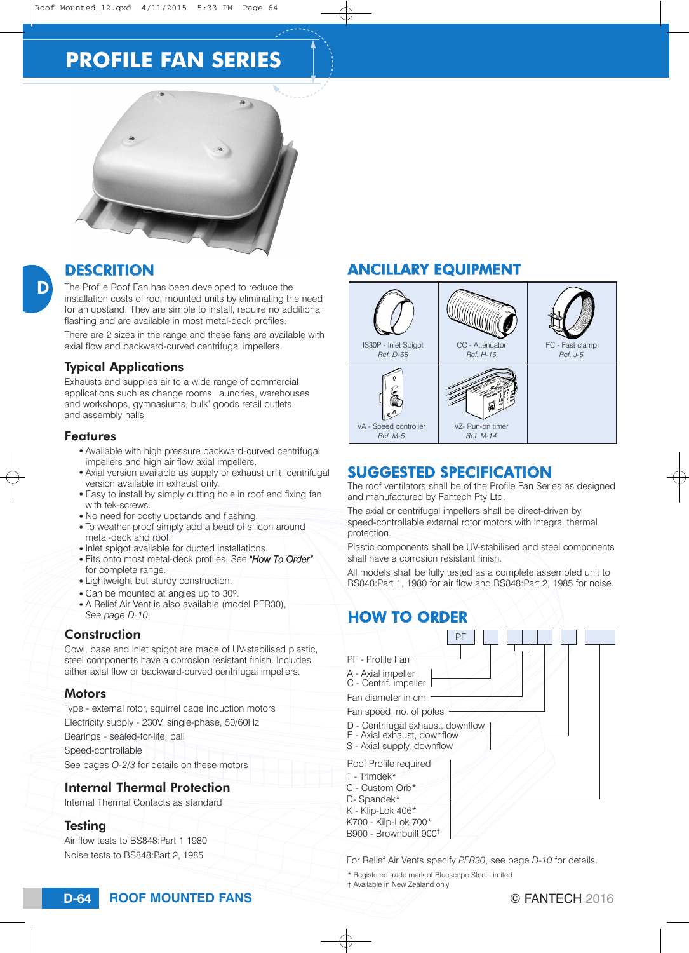# **PROFILE FAN SERIES**



D

The Profile Roof Fan has been developed to reduce the installation costs of roof mounted units by eliminating the need for an upstand. They are simple to install, require no additional flashing and are available in most metal-deck profiles.

There are 2 sizes in the range and these fans are available with axial flow and backward-curved centrifugal impellers.

## Typical Applications

Exhausts and supplies air to a wide range of commercial applications such as change rooms, laundries, warehouses and workshops, gymnasiums, bulk' goods retail outlets and assembly halls.

#### Features

- Available with high pressure backward-curved centrifugal impellers and high air flow axial impellers.
- Axial version available as supply or exhaust unit, centrifugal version available in exhaust only.
- Easy to install by simply cutting hole in roof and fixing fan with tek-screws.
- No need for costly upstands and flashing.
- To weather proof simply add a bead of silicon around metal-deck and roof.
- Inlet spigot available for ducted installations.
- <sup>O</sup> Fits onto most metal-deck profiles. See *"How To Order"* for complete range.
- Lightweight but sturdy construction.
- Can be mounted at angles up to 30°.
- A Relief Air Vent is also available (model PFR30), *See page D-10*.

## Construction

Cowl, base and inlet spigot are made of UV-stabilised plastic, steel components have a corrosion resistant finish. Includes either axial flow or backward-curved centrifugal impellers.

#### **Motors**

Type - external rotor, squirrel cage induction motors

Electricity supply - 230V, single-phase, 50/60Hz

Bearings - sealed-for-life, ball

Speed-controllable

See pages *O-2/3* for details on these motors

#### Internal Thermal Protection

Internal Thermal Contacts as standard

#### **Testing**

Air flow tests to BS848:Part 1 1980 Noise tests to BS848:Part 2, 1985

# DESCRITION ANCILLARY EQUIPMENT



# SUGGESTED SPECIFICATION

# HOW TO ORDER

| <b>SUGGESTED SPECIFICATION</b><br>The roof ventilators shall be of the Profile Fan Series as designed<br>and manufactured by Fantech Pty Ltd.<br>The axial or centrifugal impellers shall be direct-driven by<br>speed-controllable external rotor motors with integral thermal<br>protection.<br>Plastic components shall be UV-stabilised and steel components<br>shall have a corrosion resistant finish.<br>All models shall be fully tested as a complete assembled unit to<br>BS848:Part 1, 1980 for air flow and BS848:Part 2, 1985 for noise. |
|-------------------------------------------------------------------------------------------------------------------------------------------------------------------------------------------------------------------------------------------------------------------------------------------------------------------------------------------------------------------------------------------------------------------------------------------------------------------------------------------------------------------------------------------------------|
|                                                                                                                                                                                                                                                                                                                                                                                                                                                                                                                                                       |
| <b>HOW TO ORDER</b>                                                                                                                                                                                                                                                                                                                                                                                                                                                                                                                                   |
|                                                                                                                                                                                                                                                                                                                                                                                                                                                                                                                                                       |
| PF                                                                                                                                                                                                                                                                                                                                                                                                                                                                                                                                                    |
| PF - Profile Fan<br>A - Axial impeller<br>C - Centrif. impeller<br>Fan diameter in cm<br>Fan speed, no. of poles<br>D - Centrifugal exhaust, downflow<br>E - Axial exhaust, downflow<br>S - Axial supply, downflow                                                                                                                                                                                                                                                                                                                                    |
| Roof Profile required<br>T - Trimdek*<br>C - Custom Orb*<br>D- Spandek*<br>K - Klip-Lok 406*<br>K700 - Kilp-Lok 700*<br>B900 - Brownbuilt 900 <sup>+</sup>                                                                                                                                                                                                                                                                                                                                                                                            |
| For Relief Air Vents specify PFR30, see page D-10 for details.                                                                                                                                                                                                                                                                                                                                                                                                                                                                                        |
| * Registered trade mark of Bluescope Steel Limited<br>t Available in New Zealand only                                                                                                                                                                                                                                                                                                                                                                                                                                                                 |
| $\odot$ cante<br>⊿ ⊳∩∩ ב                                                                                                                                                                                                                                                                                                                                                                                                                                                                                                                              |